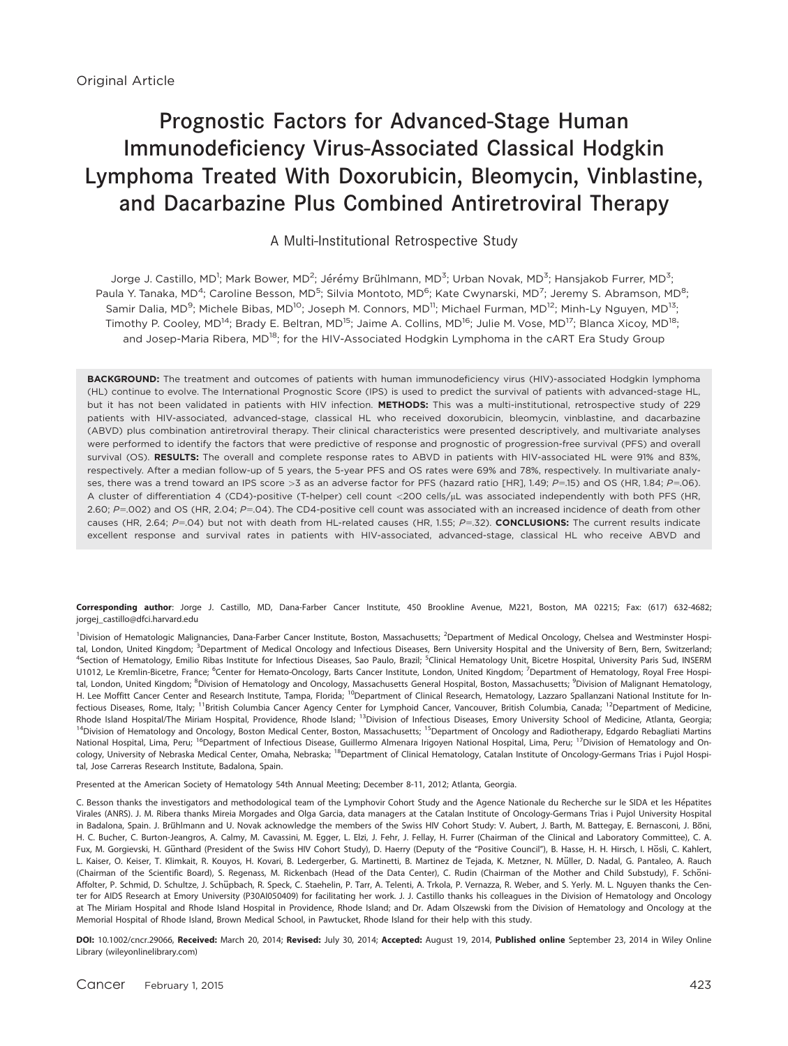# Prognostic Factors for Advanced-Stage Human Immunodeficiency Virus-Associated Classical Hodgkin Lymphoma Treated With Doxorubicin, Bleomycin, Vinblastine, and Dacarbazine Plus Combined Antiretroviral Therapy

#### A Multi-Institutional Retrospective Study

Jorge J. Castillo, MD<sup>1</sup>; Mark Bower, MD<sup>2</sup>; Jérémy Brühlmann, MD<sup>3</sup>; Urban Novak, MD<sup>3</sup>; Hansjakob Furrer, MD<sup>3</sup>; Paula Y. Tanaka, MD<sup>4</sup>; Caroline Besson, MD<sup>5</sup>; Silvia Montoto, MD<sup>6</sup>; Kate Cwynarski, MD<sup>7</sup>; Jeremy S. Abramson, MD<sup>8</sup>; Samir Dalia, MD<sup>9</sup>; Michele Bibas, MD<sup>10</sup>; Joseph M. Connors, MD<sup>11</sup>; Michael Furman, MD<sup>12</sup>; Minh-Ly Nguyen, MD<sup>13</sup>; Timothy P. Cooley, MD<sup>14</sup>; Brady E. Beltran, MD<sup>15</sup>; Jaime A. Collins, MD<sup>16</sup>; Julie M. Vose, MD<sup>17</sup>; Blanca Xicoy, MD<sup>18</sup>; and Josep-Maria Ribera, MD<sup>18</sup>; for the HIV-Associated Hodgkin Lymphoma in the cART Era Study Group

BACKGROUND: The treatment and outcomes of patients with human immunodeficiency virus (HIV)-associated Hodgkin lymphoma (HL) continue to evolve. The International Prognostic Score (IPS) is used to predict the survival of patients with advanced-stage HL, but it has not been validated in patients with HIV infection. METHODS: This was a multi-institutional, retrospective study of 229 patients with HIV-associated, advanced-stage, classical HL who received doxorubicin, bleomycin, vinblastine, and dacarbazine (ABVD) plus combination antiretroviral therapy. Their clinical characteristics were presented descriptively, and multivariate analyses were performed to identify the factors that were predictive of response and prognostic of progression-free survival (PFS) and overall survival (OS). RESULTS: The overall and complete response rates to ABVD in patients with HIV-associated HL were 91% and 83%, respectively. After a median follow-up of 5 years, the 5-year PFS and OS rates were 69% and 78%, respectively. In multivariate analyses, there was a trend toward an IPS score >3 as an adverse factor for PFS (hazard ratio [HR], 1.49;  $P=15$ ) and OS (HR, 1.84;  $P=06$ ). A cluster of differentiation 4 (CD4)-positive (T-helper) cell count <200 cells/µL was associated independently with both PFS (HR, 2.60; P=.002) and OS (HR, 2.04; P=.04). The CD4-positive cell count was associated with an increased incidence of death from other causes (HR, 2.64; P=.04) but not with death from HL-related causes (HR, 1.55; P=.32). CONCLUSIONS: The current results indicate excellent response and survival rates in patients with HIV-associated, advanced-stage, classical HL who receive ABVD and

Corresponding author: Jorge J. Castillo, MD, Dana-Farber Cancer Institute, 450 Brookline Avenue, M221, Boston, MA 02215; Fax: (617) 632-4682; jorgej\_castillo@dfci.harvard.edu

<sup>1</sup>Division of Hematologic Malignancies, Dana-Farber Cancer Institute, Boston, Massachusetts; <sup>2</sup>Department of Medical Oncology, Chelsea and Westminster Hospital, London, United Kingdom; <sup>3</sup>Department of Medical Oncology and Infectious Diseases, Bern University Hospital and the University of Bern, Bern, Switzerland; <sup>4</sup>Section of Hematology, Emilio Ribas Institute for Infectious Diseases, Sao Paulo, Brazil; <sup>5</sup>Clinical Hematology Unit, Bicetre Hospital, University Paris Sud, INSERM U1012, Le Kremlin-Bicetre, France; <sup>6</sup>Center for Hemato-Oncology, Barts Cancer Institute, London, United Kingdom; <sup>7</sup>Department of Hematology, Royal Free Hospital, London, United Kingdom; <sup>8</sup>Division of Hematology and Oncology, Massachusetts General Hospital, Boston, Massachusetts; <sup>9</sup>Division of Malignant Hematology, H. Lee Moffitt Cancer Center and Research Institute, Tampa, Florida; 10Department of Clinical Research, Hematology, Lazzaro Spallanzani National Institute for Infectious Diseases, Rome, Italy; <sup>11</sup>British Columbia Cancer Agency Center for Lymphoid Cancer, Vancouver, British Columbia, Canada; <sup>12</sup>Department of Medicine, Rhode Island Hospital/The Miriam Hospital, Providence, Rhode Island; <sup>13</sup>Division of Infectious Diseases, Emory University School of Medicine, Atlanta, Georgia; <sup>14</sup>Division of Hematology and Oncology, Boston Medical Center, Boston, Massachusetts; <sup>15</sup>Department of Oncology and Radiotherapy, Edgardo Rebagliati Martins National Hospital, Lima, Peru; <sup>16</sup>Department of Infectious Disease, Guillermo Almenara Irigoyen National Hospital, Lima, Peru; <sup>17</sup>Division of Hematology and Oncology, University of Nebraska Medical Center, Omaha, Nebraska; <sup>18</sup>Department of Clinical Hematology, Catalan Institute of Oncology-Germans Trias i Pujol Hospital, Jose Carreras Research Institute, Badalona, Spain.

Presented at the American Society of Hematology 54th Annual Meeting; December 8-11, 2012; Atlanta, Georgia.

C. Besson thanks the investigators and methodological team of the Lymphovir Cohort Study and the Agence Nationale du Recherche sur le SIDA et les Hépatites Virales (ANRS). J. M. Ribera thanks Mireia Morgades and Olga Garcia, data managers at the Catalan Institute of Oncology-Germans Trias i Pujol University Hospital in Badalona, Spain. J. Brühlmann and U. Novak acknowledge the members of the Swiss HIV Cohort Study: V. Aubert, J. Barth, M. Battegay, E. Bernasconi, J. Böni, H. C. Bucher, C. Burton-Jeangros, A. Calmy, M. Cavassini, M. Egger, L. Elzi, J. Fehr, J. Fellay, H. Furrer (Chairman of the Clinical and Laboratory Committee), C. A. Fux, M. Gorgievski, H. Günthard (President of the Swiss HIV Cohort Study), D. Haerry (Deputy of the "Positive Council"), B. Hasse, H. H. Hirsch, I. Hösli, C. Kahlert, L. Kaiser, O. Keiser, T. Klimkait, R. Kouyos, H. Kovari, B. Ledergerber, G. Martinetti, B. Martinez de Tejada, K. Metzner, N. Müller, D. Nadal, G. Pantaleo, A. Rauch (Chairman of the Scientific Board), S. Regenass, M. Rickenbach (Head of the Data Center), C. Rudin (Chairman of the Mother and Child Substudy), F. Schöni-Affolter, P. Schmid, D. Schultze, J. Schüpbach, R. Speck, C. Staehelin, P. Tarr, A. Telenti, A. Trkola, P. Vernazza, R. Weber, and S. Yerly. M. L. Nguyen thanks the Center for AIDS Research at Emory University (P30AI050409) for facilitating her work. J. J. Castillo thanks his colleagues in the Division of Hematology and Oncology at The Miriam Hospital and Rhode Island Hospital in Providence, Rhode Island; and Dr. Adam Olszewski from the Division of Hematology and Oncology at the Memorial Hospital of Rhode Island, Brown Medical School, in Pawtucket, Rhode Island for their help with this study.

DOI: 10.1002/cncr.29066, Received: March 20, 2014; Revised: July 30, 2014; Accepted: August 19, 2014, Published online September 23, 2014 in Wiley Online Library (wileyonlinelibrary.com)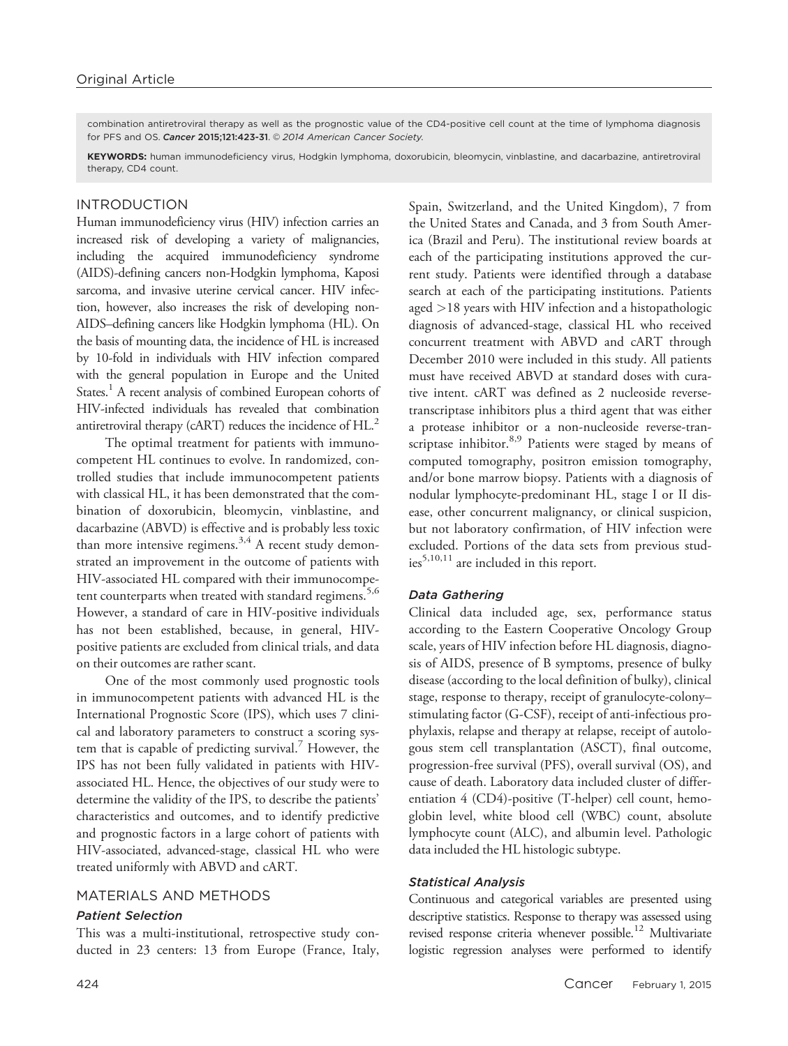combination antiretroviral therapy as well as the prognostic value of the CD4-positive cell count at the time of lymphoma diagnosis for PFS and OS. Cancer 2015:121:423-31. © 2014 American Cancer Society.

KEYWORDS: human immunodeficiency virus, Hodgkin lymphoma, doxorubicin, bleomycin, vinblastine, and dacarbazine, antiretroviral therapy, CD4 count.

# INTRODUCTION

Human immunodeficiency virus (HIV) infection carries an increased risk of developing a variety of malignancies, including the acquired immunodeficiency syndrome (AIDS)-defining cancers non-Hodgkin lymphoma, Kaposi sarcoma, and invasive uterine cervical cancer. HIV infection, however, also increases the risk of developing non-AIDS–defining cancers like Hodgkin lymphoma (HL). On the basis of mounting data, the incidence of HL is increased by 10-fold in individuals with HIV infection compared with the general population in Europe and the United States.<sup>1</sup> A recent analysis of combined European cohorts of HIV-infected individuals has revealed that combination antiretroviral therapy (cART) reduces the incidence of  $HL<sup>2</sup>$ 

The optimal treatment for patients with immunocompetent HL continues to evolve. In randomized, controlled studies that include immunocompetent patients with classical HL, it has been demonstrated that the combination of doxorubicin, bleomycin, vinblastine, and dacarbazine (ABVD) is effective and is probably less toxic than more intensive regimens.<sup>3,4</sup> A recent study demonstrated an improvement in the outcome of patients with HIV-associated HL compared with their immunocompetent counterparts when treated with standard regimens.<sup>5,6</sup> However, a standard of care in HIV-positive individuals has not been established, because, in general, HIVpositive patients are excluded from clinical trials, and data on their outcomes are rather scant.

One of the most commonly used prognostic tools in immunocompetent patients with advanced HL is the International Prognostic Score (IPS), which uses 7 clinical and laboratory parameters to construct a scoring system that is capable of predicting survival.<sup>7</sup> However, the IPS has not been fully validated in patients with HIVassociated HL. Hence, the objectives of our study were to determine the validity of the IPS, to describe the patients' characteristics and outcomes, and to identify predictive and prognostic factors in a large cohort of patients with HIV-associated, advanced-stage, classical HL who were treated uniformly with ABVD and cART.

# MATERIALS AND METHODS

## Patient Selection

This was a multi-institutional, retrospective study conducted in 23 centers: 13 from Europe (France, Italy, Spain, Switzerland, and the United Kingdom), 7 from the United States and Canada, and 3 from South America (Brazil and Peru). The institutional review boards at each of the participating institutions approved the current study. Patients were identified through a database search at each of the participating institutions. Patients aged >18 years with HIV infection and a histopathologic diagnosis of advanced-stage, classical HL who received concurrent treatment with ABVD and cART through December 2010 were included in this study. All patients must have received ABVD at standard doses with curative intent. cART was defined as 2 nucleoside reversetranscriptase inhibitors plus a third agent that was either a protease inhibitor or a non-nucleoside reverse-transcriptase inhibitor. $8.9$  Patients were staged by means of computed tomography, positron emission tomography, and/or bone marrow biopsy. Patients with a diagnosis of nodular lymphocyte-predominant HL, stage I or II disease, other concurrent malignancy, or clinical suspicion, but not laboratory confirmation, of HIV infection were excluded. Portions of the data sets from previous stud- $\mathrm{i}\mathrm{e}\mathrm{s}^{5,10,11}$  are included in this report.

# Data Gathering

Clinical data included age, sex, performance status according to the Eastern Cooperative Oncology Group scale, years of HIV infection before HL diagnosis, diagnosis of AIDS, presence of B symptoms, presence of bulky disease (according to the local definition of bulky), clinical stage, response to therapy, receipt of granulocyte-colony– stimulating factor (G-CSF), receipt of anti-infectious prophylaxis, relapse and therapy at relapse, receipt of autologous stem cell transplantation (ASCT), final outcome, progression-free survival (PFS), overall survival (OS), and cause of death. Laboratory data included cluster of differentiation 4 (CD4)-positive (T-helper) cell count, hemoglobin level, white blood cell (WBC) count, absolute lymphocyte count (ALC), and albumin level. Pathologic data included the HL histologic subtype.

# Statistical Analysis

Continuous and categorical variables are presented using descriptive statistics. Response to therapy was assessed using revised response criteria whenever possible.<sup>12</sup> Multivariate logistic regression analyses were performed to identify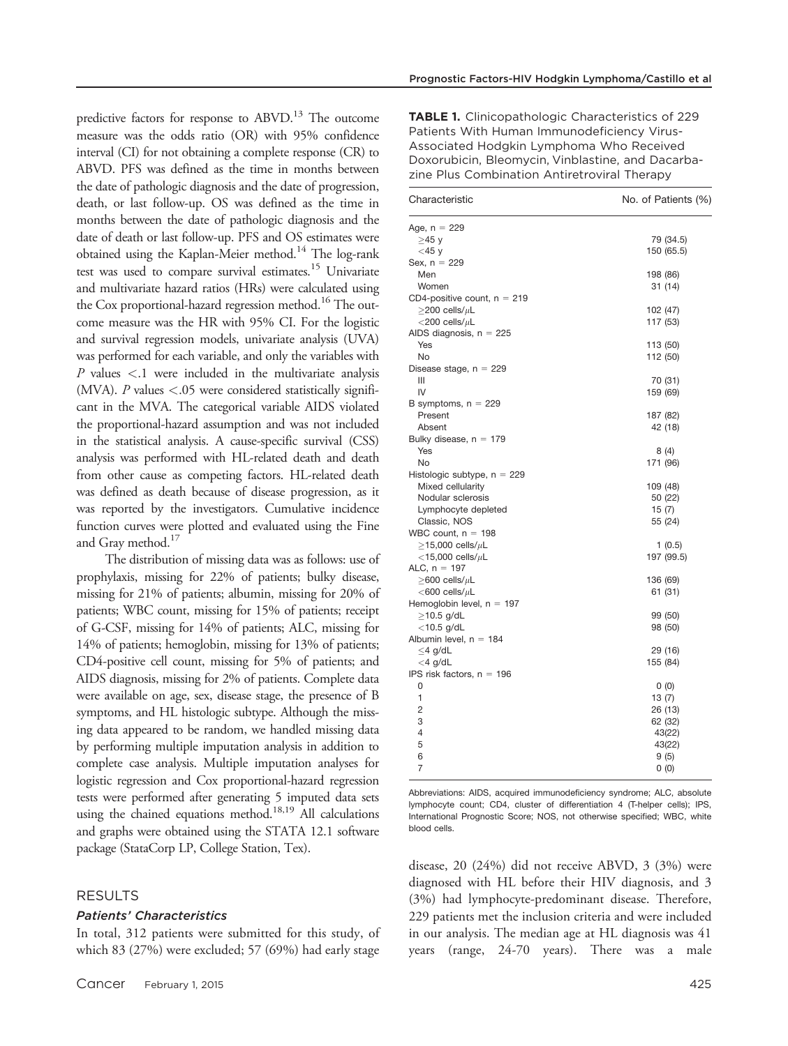predictive factors for response to ABVD.<sup>13</sup> The outcome measure was the odds ratio (OR) with 95% confidence interval (CI) for not obtaining a complete response (CR) to ABVD. PFS was defined as the time in months between the date of pathologic diagnosis and the date of progression, death, or last follow-up. OS was defined as the time in months between the date of pathologic diagnosis and the date of death or last follow-up. PFS and OS estimates were obtained using the Kaplan-Meier method.<sup>14</sup> The log-rank test was used to compare survival estimates.<sup>15</sup> Univariate and multivariate hazard ratios (HRs) were calculated using the Cox proportional-hazard regression method.<sup>16</sup> The outcome measure was the HR with 95% CI. For the logistic and survival regression models, univariate analysis (UVA) was performed for each variable, and only the variables with  $P$  values  $\lt$ .1 were included in the multivariate analysis (MVA).  $P$  values <.05 were considered statistically significant in the MVA. The categorical variable AIDS violated the proportional-hazard assumption and was not included in the statistical analysis. A cause-specific survival (CSS) analysis was performed with HL-related death and death from other cause as competing factors. HL-related death was defined as death because of disease progression, as it was reported by the investigators. Cumulative incidence function curves were plotted and evaluated using the Fine and Gray method.<sup>17</sup>

The distribution of missing data was as follows: use of prophylaxis, missing for 22% of patients; bulky disease, missing for 21% of patients; albumin, missing for 20% of patients; WBC count, missing for 15% of patients; receipt of G-CSF, missing for 14% of patients; ALC, missing for 14% of patients; hemoglobin, missing for 13% of patients; CD4-positive cell count, missing for 5% of patients; and AIDS diagnosis, missing for 2% of patients. Complete data were available on age, sex, disease stage, the presence of B symptoms, and HL histologic subtype. Although the missing data appeared to be random, we handled missing data by performing multiple imputation analysis in addition to complete case analysis. Multiple imputation analyses for logistic regression and Cox proportional-hazard regression tests were performed after generating 5 imputed data sets using the chained equations method.<sup>18,19</sup> All calculations and graphs were obtained using the STATA 12.1 software package (StataCorp LP, College Station, Tex).

#### RESULTS

#### Patients' Characteristics

In total, 312 patients were submitted for this study, of which 83 (27%) were excluded; 57 (69%) had early stage

| Characteristic                | No. of Patients (%) |
|-------------------------------|---------------------|
| Age, $n = 229$                |                     |
| ≥45 y                         | 79 (34.5)           |
| $<$ 45 y                      | 150 (65.5)          |
| Sex, $n = 229$                |                     |
| Men                           | 198 (86)            |
| Women                         | 31 (14)             |
| CD4-positive count, $n = 219$ |                     |
| $\geq$ 200 cells/ $\mu$ L     | 102 (47)            |
| ${<}200$ cells/ ${\rm \mu L}$ | 117 (53)            |
| AIDS diagnosis, $n = 225$     |                     |
| Yes                           | 113 (50)            |
| No                            | 112 (50)            |
| Disease stage, $n = 229$      |                     |
| Ш                             | 70 (31)             |
| IV                            | 159 (69)            |
| B symptoms, $n = 229$         |                     |
| Present                       | 187 (82)            |
| Absent                        | 42 (18)             |
| Bulky disease, $n = 179$      |                     |
| Yes                           | 8 (4)               |
| No                            | 171 (96)            |
| Histologic subtype, $n = 229$ |                     |
| Mixed cellularity             | 109 (48)            |
| Nodular sclerosis             | 50 (22)             |
| Lymphocyte depleted           | 15(7)               |
| Classic, NOS                  | 55 (24)             |
| WBC count, $n = 198$          |                     |
| $\geq$ 15,000 cells/ $\mu$ L  | 1(0.5)              |
| $<$ 15,000 cells/ $\mu$ L     | 197 (99.5)          |
| ALC, $n = 197$                |                     |
| $\geq$ 600 cells/ $\mu$ L     | 136 (69)            |
| $<$ 600 cells/ $\mu$ L        | 61 (31)             |
| Hemoglobin level, $n = 197$   |                     |
| $\geq$ 10.5 g/dL              | 99 (50)             |
| $<$ 10.5 g/dL                 | 98 (50)             |
| Albumin level, $n = 184$      |                     |
| $\leq$ 4 g/dL                 | 29 (16)             |
| $<$ 4 g/dL                    | 155 (84)            |
| IPS risk factors, $n = 196$   |                     |
| 0                             | 0(0)                |
| 1                             | 13(7)               |
| $\overline{2}$                | 26 (13)             |
| 3                             | 62 (32)             |
| 4                             | 43(22)              |
| 5                             | 43(22)              |
| 6                             | 9(5)                |
| 7                             | 0(0)                |
|                               |                     |

Abbreviations: AIDS, acquired immunodeficiency syndrome; ALC, absolute lymphocyte count; CD4, cluster of differentiation 4 (T-helper cells); IPS, International Prognostic Score; NOS, not otherwise specified; WBC, white blood cells.

disease, 20 (24%) did not receive ABVD, 3 (3%) were diagnosed with HL before their HIV diagnosis, and 3 (3%) had lymphocyte-predominant disease. Therefore, 229 patients met the inclusion criteria and were included in our analysis. The median age at HL diagnosis was 41 years (range, 24-70 years). There was a male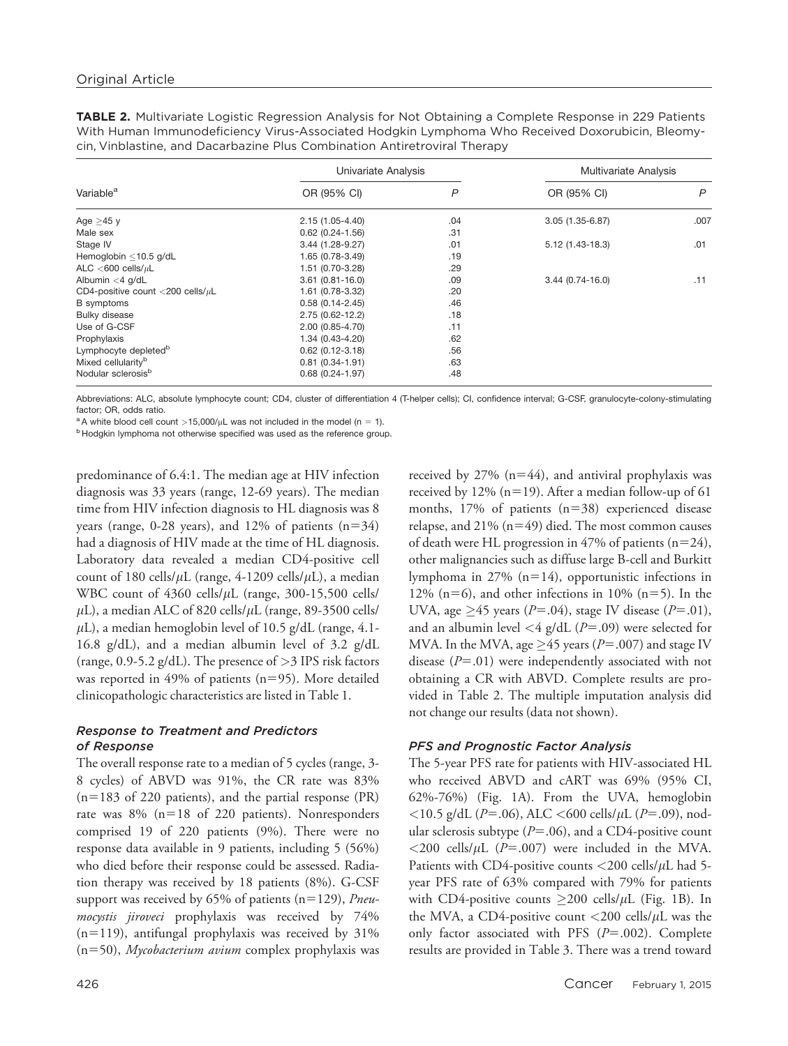TABLE 2. Multivariate Logistic Regression Analysis for Not Obtaining a Complete Response in 229 Patients With Human Immunodeficiency Virus-Associated Hodgkin Lymphoma Who Received Doxorubicin, Bleomycin, Vinblastine, and Dacarbazine Plus Combination Antiretroviral Therapy

|                                        | Univariate Analysis |     | Multivariate Analysis |      |
|----------------------------------------|---------------------|-----|-----------------------|------|
| Variable <sup>a</sup>                  | OR (95% CI)         | P   | OR (95% CI)           | P    |
| Age $\geq$ 45 y                        | $2.15(1.05 - 4.40)$ | .04 | $3.05(1.35-6.87)$     | .007 |
| Male sex                               | $0.62(0.24 - 1.56)$ | .31 |                       |      |
| Stage IV                               | $3.44(1.28-9.27)$   | .01 | $5.12(1.43-18.3)$     | .01  |
| Hemoglobin <10.5 g/dL                  | 1.65 (0.78-3.49)    | .19 |                       |      |
| ALC $<$ 600 cells/ $\mu$ L             | 1.51 (0.70-3.28)    | .29 |                       |      |
| Albumin $<$ 4 g/dL                     | $3.61(0.81 - 16.0)$ | .09 | $3.44(0.74 - 16.0)$   | .11  |
| CD4-positive count <200 cells/ $\mu$ L | 1.61 (0.78-3.32)    | .20 |                       |      |
| <b>B</b> symptoms                      | $0.58(0.14 - 2.45)$ | .46 |                       |      |
| Bulky disease                          | $2.75(0.62 - 12.2)$ | .18 |                       |      |
| Use of G-CSF                           | $2.00(0.85 - 4.70)$ | .11 |                       |      |
| Prophylaxis                            | $1.34(0.43 - 4.20)$ | .62 |                       |      |
| Lymphocyte depleted <sup>b</sup>       | $0.62(0.12-3.18)$   | .56 |                       |      |
| Mixed cellularity <sup>b</sup>         | $0.81(0.34 - 1.91)$ | .63 |                       |      |
| Nodular sclerosis <sup>b</sup>         | $0.68(0.24 - 1.97)$ | .48 |                       |      |

Abbreviations: ALC, absolute lymphocyte count; CD4, cluster of differentiation 4 (T-helper cells); CI, confidence interval; G-CSF, granulocyte-colony-stimulating factor; OR, odds ratio.

<sup>a</sup> A white blood cell count >15,000/ $\mu$ L was not included in the model (n = 1).

<sup>b</sup> Hodgkin lymphoma not otherwise specified was used as the reference group.

predominance of 6.4:1. The median age at HIV infection diagnosis was 33 years (range, 12-69 years). The median time from HIV infection diagnosis to HL diagnosis was 8 years (range, 0-28 years), and 12% of patients  $(n=34)$ had a diagnosis of HIV made at the time of HL diagnosis. Laboratory data revealed a median CD4-positive cell count of 180 cells/ $\mu$ L (range, 4-1209 cells/ $\mu$ L), a median WBC count of  $4360$  cells/ $\mu$ L (range, 300-15,500 cells/  $\mu$ L), a median ALC of 820 cells/ $\mu$ L (range, 89-3500 cells/  $\mu$ L), a median hemoglobin level of 10.5 g/dL (range, 4.1-16.8 g/dL), and a median albumin level of 3.2 g/dL (range, 0.9-5.2 g/dL). The presence of  $>$ 3 IPS risk factors was reported in 49% of patients ( $n=95$ ). More detailed clinicopathologic characteristics are listed in Table 1.

## Response to Treatment and Predictors of Response

The overall response rate to a median of 5 cycles (range, 3- 8 cycles) of ABVD was 91%, the CR rate was 83%  $(n=183$  of 220 patients), and the partial response (PR) rate was  $8\%$  (n=18 of 220 patients). Nonresponders comprised 19 of 220 patients (9%). There were no response data available in 9 patients, including 5 (56%) who died before their response could be assessed. Radiation therapy was received by 18 patients (8%). G-CSF support was received by 65% of patients ( $n=129$ ), *Pneu*mocystis jiroveci prophylaxis was received by 74%  $(n=119)$ , antifungal prophylaxis was received by 31%  $(n=50)$ , Mycobacterium avium complex prophylaxis was received by  $27\%$  (n=44), and antiviral prophylaxis was received by 12% ( $n=19$ ). After a median follow-up of 61 months,  $17\%$  of patients ( $n=38$ ) experienced disease relapse, and  $21\%$  (n=49) died. The most common causes of death were HL progression in 47% of patients ( $n=24$ ), other malignancies such as diffuse large B-cell and Burkitt lymphoma in  $27\%$  (n=14), opportunistic infections in 12% (n=6), and other infections in 10% (n=5). In the UVA, age  $\geq$  45 years (P=.04), stage IV disease (P=.01), and an albumin level  $\langle 4 \text{ g/dL} (P=.09)$  were selected for MVA. In the MVA, age  $\geq$ 45 years (P=.007) and stage IV disease  $(P=.01)$  were independently associated with not obtaining a CR with ABVD. Complete results are provided in Table 2. The multiple imputation analysis did not change our results (data not shown).

# PFS and Prognostic Factor Analysis

The 5-year PFS rate for patients with HIV-associated HL who received ABVD and cART was 69% (95% CI, 62%-76%) (Fig. 1A). From the UVA, hemoglobin  $<$ 10.5 g/dL (P=.06), ALC  $<$ 600 cells/ $\mu$ L (P=.09), nodular sclerosis subtype ( $P=.06$ ), and a CD4-positive count  $\langle 200 \text{ cells/}\mu L \ (P=.007)$  were included in the MVA. Patients with CD4-positive counts  $<$  200 cells/ $\mu$ L had 5year PFS rate of 63% compared with 79% for patients with CD4-positive counts  $\geq$ 200 cells/ $\mu$ L (Fig. 1B). In the MVA, a CD4-positive count  $\langle 200 \text{ cells/}\mu\text{L}$  was the only factor associated with PFS  $(P=.002)$ . Complete results are provided in Table 3. There was a trend toward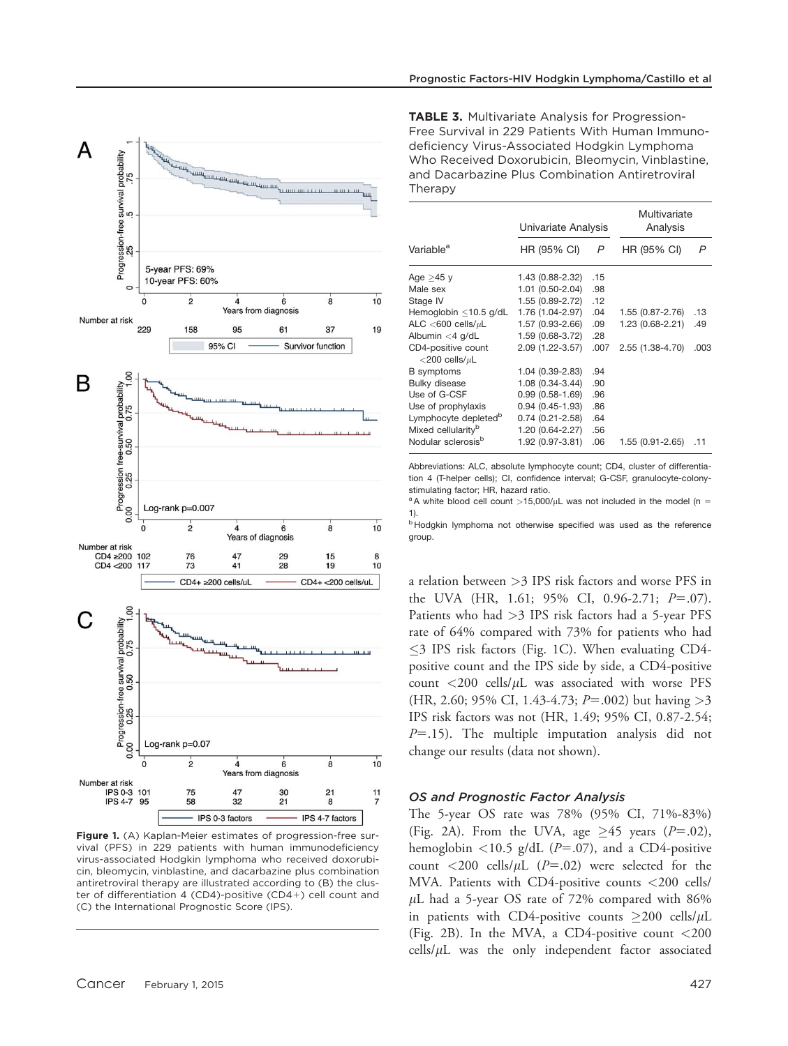

Figure 1. (A) Kaplan-Meier estimates of progression-free survival (PFS) in 229 patients with human immunodeficiency virus-associated Hodgkin lymphoma who received doxorubicin, bleomycin, vinblastine, and dacarbazine plus combination antiretroviral therapy are illustrated according to (B) the cluster of differentiation 4 (CD4)-positive (CD4+) cell count and (C) the International Prognostic Score (IPS).

TABLE 3. Multivariate Analysis for Progression-Free Survival in 229 Patients With Human Immunodeficiency Virus-Associated Hodgkin Lymphoma Who Received Doxorubicin, Bleomycin, Vinblastine, and Dacarbazine Plus Combination Antiretroviral Therapy

|                                              | Univariate Analysis  |      | Multivariate<br>Analysis |      |
|----------------------------------------------|----------------------|------|--------------------------|------|
| Variable <sup>a</sup>                        | HR (95% CI)          | P    | HR (95% CI)              | P    |
| Age >45 y                                    | 1.43 (0.88-2.32)     | .15  |                          |      |
| Male sex                                     | 1.01 (0.50-2.04)     | .98  |                          |      |
| Stage IV                                     | 1.55 (0.89-2.72)     | .12  |                          |      |
| Hemoglobin $\leq$ 10.5 g/dL                  | 1.76 (1.04-2.97) .04 |      | $1.55(0.87 - 2.76)$      | .13  |
| ALC $<$ 600 cells/ $\mu$ L                   | 1.57 (0.93-2.66)     | .09  | 1.23 (0.68-2.21)         | .49  |
| Albumin $<$ 4 g/dL                           | 1.59 (0.68-3.72)     | .28  |                          |      |
| CD4-positive count<br>$<$ 200 cells/ $\mu$ L | 2.09 (1.22-3.57)     | .007 | 2.55 (1.38-4.70)         | .003 |
| <b>B</b> symptoms                            | 1.04 (0.39-2.83)     | .94  |                          |      |
| <b>Bulky disease</b>                         | 1.08 (0.34-3.44)     | .90  |                          |      |
| Use of G-CSF                                 | $0.99(0.58-1.69)$    | .96  |                          |      |
| Use of prophylaxis                           | $0.94(0.45-1.93)$    | .86  |                          |      |
| Lymphocyte depleted <sup>b</sup>             | $0.74(0.21 - 2.58)$  | .64  |                          |      |
| Mixed cellularity <sup>b</sup>               | 1.20 (0.64-2.27)     | .56  |                          |      |
| Nodular sclerosis <sup>b</sup>               | 1.92 (0.97-3.81)     | .06  | 1.55 (0.91-2.65)         | .11  |

Abbreviations: ALC, absolute lymphocyte count; CD4, cluster of differentiation 4 (T-helper cells); CI, confidence interval; G-CSF, granulocyte-colonystimulating factor; HR, hazard ratio.

<sup>a</sup>A white blood cell count >15,000/ $\mu$ L was not included in the model (n = 1).

**b Hodgkin lymphoma not otherwise specified was used as the reference** group.

a relation between >3 IPS risk factors and worse PFS in the UVA (HR, 1.61; 95% CI, 0.96-2.71;  $P=.07$ ). Patients who had >3 IPS risk factors had a 5-year PFS rate of 64% compared with 73% for patients who had  $\leq$ 3 IPS risk factors (Fig. 1C). When evaluating CD4positive count and the IPS side by side, a CD4-positive count  $\langle 200 \text{ cells/}\mu\text{L}$  was associated with worse PFS  $(HR, 2.60; 95\% \text{ CI}, 1.43-4.73; P=.002)$  but having  $>3$ IPS risk factors was not (HR, 1.49; 95% CI, 0.87-2.54;  $P=15$ ). The multiple imputation analysis did not change our results (data not shown).

## OS and Prognostic Factor Analysis

The 5-year OS rate was 78% (95% CI, 71%-83%) (Fig. 2A). From the UVA, age  $\geq$  45 years (P=.02), hemoglobin  $\langle 10.5 \text{ g/dL}$  (P=.07), and a CD4-positive count  $\langle 200 \text{ cells/}\mu\text{L}$  (P=.02) were selected for the MVA. Patients with CD4-positive counts <200 cells/  $\mu$ L had a 5-year OS rate of 72% compared with 86% in patients with CD4-positive counts  $\geq$ 200 cells/ $\mu$ L (Fig. 2B). In the MVA, a CD4-positive count <200  $\text{cells}/\mu\text{L}$  was the only independent factor associated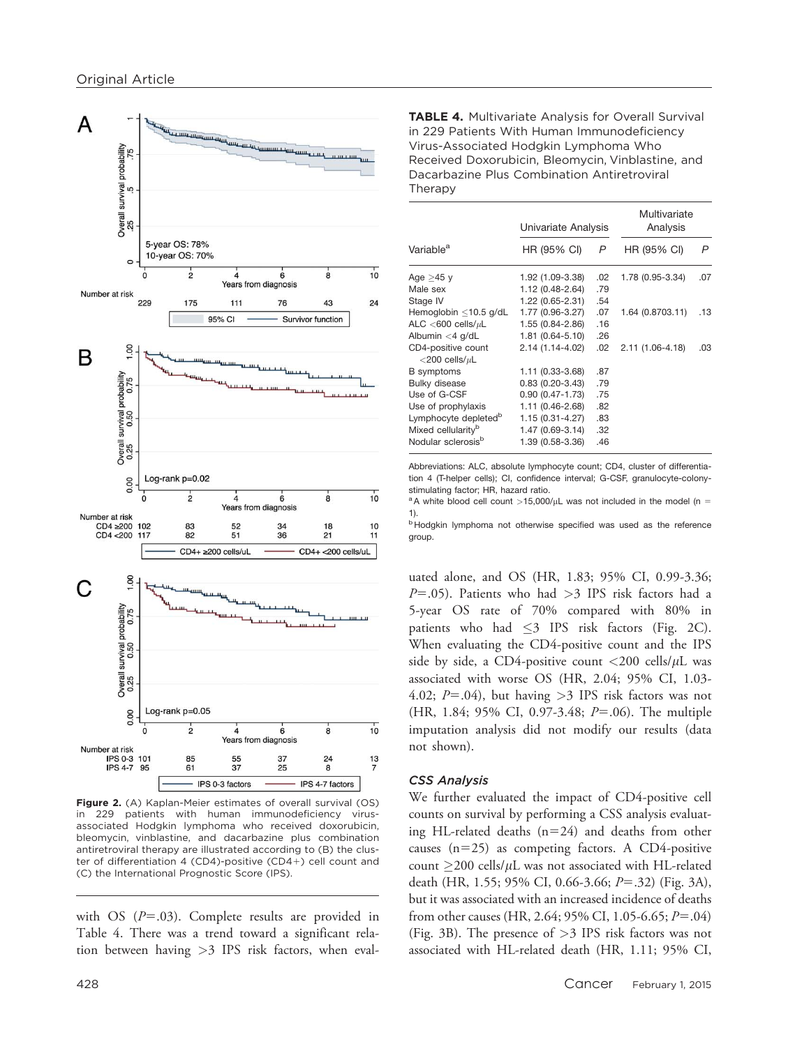

Figure 2. (A) Kaplan-Meier estimates of overall survival (OS) in 229 patients with human immunodeficiency virusassociated Hodgkin lymphoma who received doxorubicin, bleomycin, vinblastine, and dacarbazine plus combination antiretroviral therapy are illustrated according to (B) the cluster of differentiation 4 (CD4)-positive (CD4+) cell count and (C) the International Prognostic Score (IPS).

with OS  $(P=.03)$ . Complete results are provided in Table 4. There was a trend toward a significant relation between having >3 IPS risk factors, when evalTABLE 4. Multivariate Analysis for Overall Survival in 229 Patients With Human Immunodeficiency Virus-Associated Hodgkin Lymphoma Who Received Doxorubicin, Bleomycin, Vinblastine, and Dacarbazine Plus Combination Antiretroviral Therapy

|                                              | Univariate Analysis |     | Multivariate<br>Analysis |     |
|----------------------------------------------|---------------------|-----|--------------------------|-----|
| Variable <sup>a</sup>                        | HR (95% CI)         | P   | HR (95% CI)              | P   |
| Age $>45$ y                                  | 1.92 (1.09-3.38)    | .02 | 1.78 (0.95-3.34)         | .07 |
| Male sex                                     | 1.12 (0.48-2.64)    | .79 |                          |     |
| Stage IV                                     | 1.22 (0.65-2.31)    | .54 |                          |     |
| Hemoglobin $\leq$ 10.5 g/dL                  | 1.77 (0.96-3.27)    | .07 | 1.64 (0.8703.11)         | .13 |
| ALC $<$ 600 cells/ $\mu$ L                   | 1.55 (0.84-2.86)    | .16 |                          |     |
| Albumin $<$ 4 g/dL                           | 1.81 (0.64-5.10)    | .26 |                          |     |
| CD4-positive count<br>$<$ 200 cells/ $\mu$ L | 2.14 (1.14-4.02)    | .02 | 2.11 (1.06-4.18)         | .03 |
| <b>B</b> symptoms                            | $1.11(0.33 - 3.68)$ | .87 |                          |     |
| <b>Bulky disease</b>                         | $0.83(0.20-3.43)$   | .79 |                          |     |
| Use of G-CSF                                 | $0.90(0.47 - 1.73)$ | .75 |                          |     |
| Use of prophylaxis                           | 1.11 (0.46-2.68)    | .82 |                          |     |
| Lymphocyte depleted <sup>b</sup>             | 1.15 (0.31-4.27)    | .83 |                          |     |
| Mixed cellularity <sup>b</sup>               | 1.47 (0.69-3.14)    | .32 |                          |     |
| Nodular sclerosis <sup>b</sup>               | 1.39 (0.58-3.36)    | .46 |                          |     |

Abbreviations: ALC, absolute lymphocyte count; CD4, cluster of differentiation 4 (T-helper cells); CI, confidence interval; G-CSF, granulocyte-colonystimulating factor; HR, hazard ratio.

 $a$ A white blood cell count >15,000/ $\mu$ L was not included in the model (n = 1).

**b Hodgkin lymphoma not otherwise specified was used as the reference** group.

uated alone, and OS (HR, 1.83; 95% CI, 0.99-3.36;  $P=0.05$ ). Patients who had  $>3$  IPS risk factors had a 5-year OS rate of 70% compared with 80% in patients who had  $\leq$ 3 IPS risk factors (Fig. 2C). When evaluating the CD4-positive count and the IPS side by side, a CD4-positive count  $\langle 200 \text{ cells/}\mu\text{L} \rangle$  was associated with worse OS (HR, 2.04; 95% CI, 1.03- 4.02;  $P = .04$ ), but having >3 IPS risk factors was not (HR, 1.84; 95% CI, 0.97-3.48;  $P = .06$ ). The multiple imputation analysis did not modify our results (data not shown).

# CSS Analysis

We further evaluated the impact of CD4-positive cell counts on survival by performing a CSS analysis evaluating HL-related deaths  $(n=24)$  and deaths from other causes  $(n=25)$  as competing factors. A CD4-positive count  $\geq$ 200 cells/ $\mu$ L was not associated with HL-related death (HR, 1.55; 95% CI, 0.66-3.66;  $P = .32$ ) (Fig. 3A), but it was associated with an increased incidence of deaths from other causes (HR, 2.64; 95% CI, 1.05-6.65;  $P = .04$ ) (Fig. 3B). The presence of >3 IPS risk factors was not associated with HL-related death (HR, 1.11; 95% CI,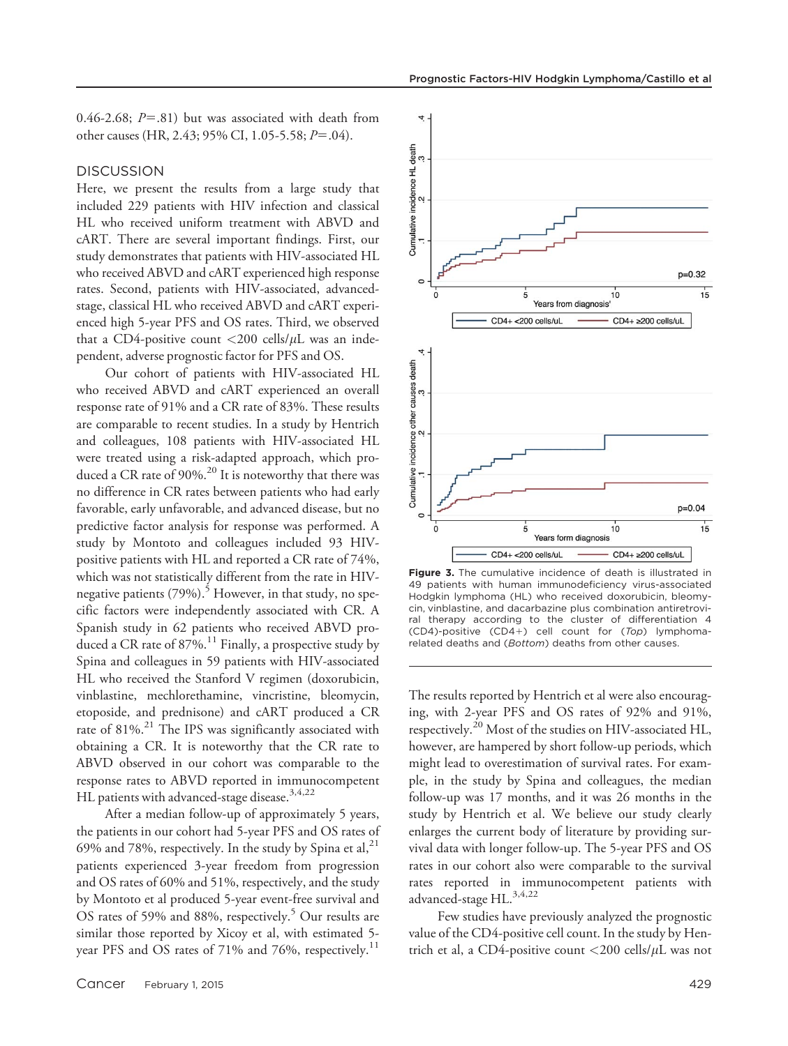0.46-2.68;  $P = .81$ ) but was associated with death from other causes (HR, 2.43; 95% CI, 1.05-5.58;  $P = .04$ ).

#### **DISCUSSION**

Here, we present the results from a large study that included 229 patients with HIV infection and classical HL who received uniform treatment with ABVD and cART. There are several important findings. First, our study demonstrates that patients with HIV-associated HL who received ABVD and cART experienced high response rates. Second, patients with HIV-associated, advancedstage, classical HL who received ABVD and cART experienced high 5-year PFS and OS rates. Third, we observed that a CD4-positive count  $\langle 200 \text{ cells/}\mu\text{L}$  was an independent, adverse prognostic factor for PFS and OS.

Our cohort of patients with HIV-associated HL who received ABVD and cART experienced an overall response rate of 91% and a CR rate of 83%. These results are comparable to recent studies. In a study by Hentrich and colleagues, 108 patients with HIV-associated HL were treated using a risk-adapted approach, which produced a CR rate of 90%.<sup>20</sup> It is noteworthy that there was no difference in CR rates between patients who had early favorable, early unfavorable, and advanced disease, but no predictive factor analysis for response was performed. A study by Montoto and colleagues included 93 HIVpositive patients with HL and reported a CR rate of 74%, which was not statistically different from the rate in HIVnegative patients  $(79\%)$ .<sup>5</sup> However, in that study, no specific factors were independently associated with CR. A Spanish study in 62 patients who received ABVD produced a CR rate of  $87\%$ .<sup>11</sup> Finally, a prospective study by Spina and colleagues in 59 patients with HIV-associated HL who received the Stanford V regimen (doxorubicin, vinblastine, mechlorethamine, vincristine, bleomycin, etoposide, and prednisone) and cART produced a CR rate of 81%.<sup>21</sup> The IPS was significantly associated with obtaining a CR. It is noteworthy that the CR rate to ABVD observed in our cohort was comparable to the response rates to ABVD reported in immunocompetent HL patients with advanced-stage disease.<sup>3,4,22</sup>

After a median follow-up of approximately 5 years, the patients in our cohort had 5-year PFS and OS rates of 69% and 78%, respectively. In the study by Spina et al,  $2^1$ patients experienced 3-year freedom from progression and OS rates of 60% and 51%, respectively, and the study by Montoto et al produced 5-year event-free survival and OS rates of 59% and 88%, respectively.<sup>5</sup> Our results are similar those reported by Xicoy et al, with estimated 5 year PFS and OS rates of 71% and 76%, respectively.<sup>11</sup>



Figure 3. The cumulative incidence of death is illustrated in 49 patients with human immunodeficiency virus-associated Hodgkin lymphoma (HL) who received doxorubicin, bleomycin, vinblastine, and dacarbazine plus combination antiretroviral therapy according to the cluster of differentiation 4 (CD4)-positive (CD4+) cell count for  $(Top)$  lymphomarelated deaths and (Bottom) deaths from other causes.

The results reported by Hentrich et al were also encouraging, with 2-year PFS and OS rates of 92% and 91%, respectively.20 Most of the studies on HIV-associated HL, however, are hampered by short follow-up periods, which might lead to overestimation of survival rates. For example, in the study by Spina and colleagues, the median follow-up was 17 months, and it was 26 months in the study by Hentrich et al. We believe our study clearly enlarges the current body of literature by providing survival data with longer follow-up. The 5-year PFS and OS rates in our cohort also were comparable to the survival rates reported in immunocompetent patients with advanced-stage HL.<sup>3,4,22</sup>

Few studies have previously analyzed the prognostic value of the CD4-positive cell count. In the study by Hentrich et al, a CD4-positive count  $\langle 200 \text{ cells/}\mu\text{L}$  was not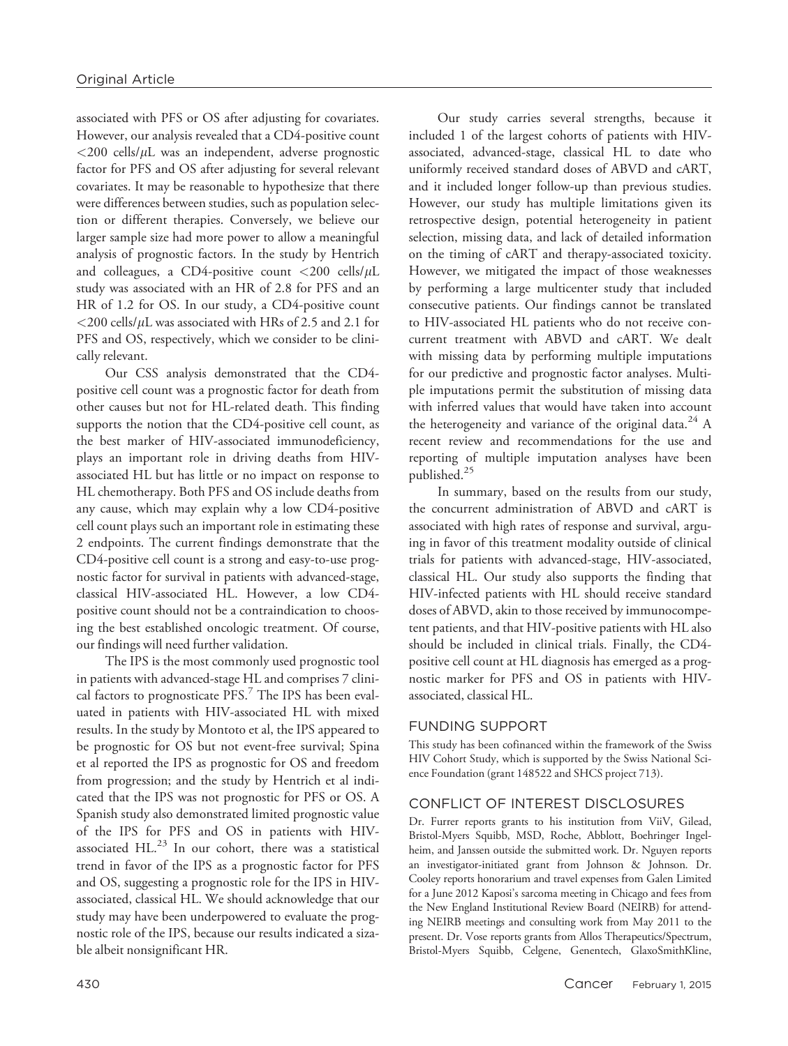associated with PFS or OS after adjusting for covariates. However, our analysis revealed that a CD4-positive count  $<$ 200 cells/ $\mu$ L was an independent, adverse prognostic factor for PFS and OS after adjusting for several relevant covariates. It may be reasonable to hypothesize that there were differences between studies, such as population selection or different therapies. Conversely, we believe our larger sample size had more power to allow a meaningful analysis of prognostic factors. In the study by Hentrich and colleagues, a CD4-positive count  $\langle 200 \text{ cells/}\mu\text{L}$ study was associated with an HR of 2.8 for PFS and an HR of 1.2 for OS. In our study, a CD4-positive count  $<$  200 cells/ $\mu$ L was associated with HRs of 2.5 and 2.1 for PFS and OS, respectively, which we consider to be clinically relevant.

Our CSS analysis demonstrated that the CD4 positive cell count was a prognostic factor for death from other causes but not for HL-related death. This finding supports the notion that the CD4-positive cell count, as the best marker of HIV-associated immunodeficiency, plays an important role in driving deaths from HIVassociated HL but has little or no impact on response to HL chemotherapy. Both PFS and OS include deaths from any cause, which may explain why a low CD4-positive cell count plays such an important role in estimating these 2 endpoints. The current findings demonstrate that the CD4-positive cell count is a strong and easy-to-use prognostic factor for survival in patients with advanced-stage, classical HIV-associated HL. However, a low CD4 positive count should not be a contraindication to choosing the best established oncologic treatment. Of course, our findings will need further validation.

The IPS is the most commonly used prognostic tool in patients with advanced-stage HL and comprises 7 clinical factors to prognosticate  $PFS$ .<sup>7</sup> The IPS has been evaluated in patients with HIV-associated HL with mixed results. In the study by Montoto et al, the IPS appeared to be prognostic for OS but not event-free survival; Spina et al reported the IPS as prognostic for OS and freedom from progression; and the study by Hentrich et al indicated that the IPS was not prognostic for PFS or OS. A Spanish study also demonstrated limited prognostic value of the IPS for PFS and OS in patients with HIVassociated  $HL$ .<sup>23</sup> In our cohort, there was a statistical trend in favor of the IPS as a prognostic factor for PFS and OS, suggesting a prognostic role for the IPS in HIVassociated, classical HL. We should acknowledge that our study may have been underpowered to evaluate the prognostic role of the IPS, because our results indicated a sizable albeit nonsignificant HR.

Our study carries several strengths, because it included 1 of the largest cohorts of patients with HIVassociated, advanced-stage, classical HL to date who uniformly received standard doses of ABVD and cART, and it included longer follow-up than previous studies. However, our study has multiple limitations given its retrospective design, potential heterogeneity in patient selection, missing data, and lack of detailed information on the timing of cART and therapy-associated toxicity. However, we mitigated the impact of those weaknesses by performing a large multicenter study that included consecutive patients. Our findings cannot be translated to HIV-associated HL patients who do not receive concurrent treatment with ABVD and cART. We dealt with missing data by performing multiple imputations for our predictive and prognostic factor analyses. Multiple imputations permit the substitution of missing data with inferred values that would have taken into account the heterogeneity and variance of the original data.<sup>24</sup> A recent review and recommendations for the use and reporting of multiple imputation analyses have been published.25

In summary, based on the results from our study, the concurrent administration of ABVD and cART is associated with high rates of response and survival, arguing in favor of this treatment modality outside of clinical trials for patients with advanced-stage, HIV-associated, classical HL. Our study also supports the finding that HIV-infected patients with HL should receive standard doses of ABVD, akin to those received by immunocompetent patients, and that HIV-positive patients with HL also should be included in clinical trials. Finally, the CD4 positive cell count at HL diagnosis has emerged as a prognostic marker for PFS and OS in patients with HIVassociated, classical HL.

## FUNDING SUPPORT

This study has been cofinanced within the framework of the Swiss HIV Cohort Study, which is supported by the Swiss National Science Foundation (grant 148522 and SHCS project 713).

# CONFLICT OF INTEREST DISCLOSURES

Dr. Furrer reports grants to his institution from ViiV, Gilead, Bristol-Myers Squibb, MSD, Roche, Abblott, Boehringer Ingelheim, and Janssen outside the submitted work. Dr. Nguyen reports an investigator-initiated grant from Johnson & Johnson. Dr. Cooley reports honorarium and travel expenses from Galen Limited for a June 2012 Kaposi's sarcoma meeting in Chicago and fees from the New England Institutional Review Board (NEIRB) for attending NEIRB meetings and consulting work from May 2011 to the present. Dr. Vose reports grants from Allos Therapeutics/Spectrum, Bristol-Myers Squibb, Celgene, Genentech, GlaxoSmithKline,